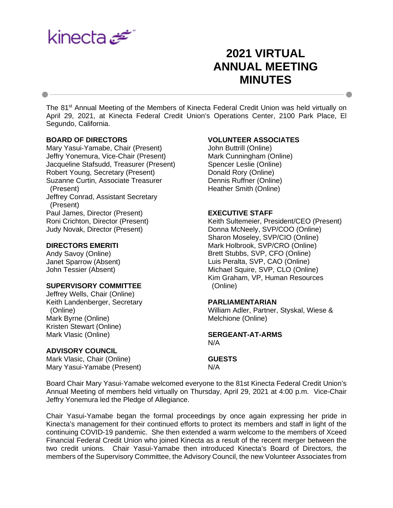

# **2021 VIRTUAL ANNUAL MEETING MINUTES**

The 81<sup>st</sup> Annual Meeting of the Members of Kinecta Federal Credit Union was held virtually on April 29, 2021, at Kinecta Federal Credit Union's Operations Center, 2100 Park Place, El Segundo, California.

### **BOARD OF DIRECTORS**

Mary Yasui-Yamabe, Chair (Present) Jeffry Yonemura, Vice-Chair (Present) Jacqueline Stafsudd, Treasurer (Present) Robert Young, Secretary (Present) Suzanne Curtin, Associate Treasurer (Present) Jeffrey Conrad, Assistant Secretary (Present) Paul James, Director (Present) Roni Crichton, Director (Present) Judy Novak, Director (Present)

#### **DIRECTORS EMERITI**

Andy Savoy (Online) Janet Sparrow (Absent) John Tessier (Absent)

# **SUPERVISORY COMMITTEE**

Jeffrey Wells, Chair (Online) Keith Landenberger, Secretary (Online) Mark Byrne (Online) Kristen Stewart (Online) Mark Vlasic (Online)

#### **ADVISORY COUNCIL**

Mark Vlasic, Chair (Online) Mary Yasui-Yamabe (Present)

### **VOLUNTEER ASSOCIATES**

John Buttrill (Online) Mark Cunningham (Online) Spencer Leslie (Online) Donald Rory (Online) Dennis Ruffner (Online) Heather Smith (Online)

#### **EXECUTIVE STAFF**

Keith Sultemeier, President/CEO (Present) Donna McNeely, SVP/COO (Online) Sharon Moseley, SVP/CIO (Online) Mark Holbrook, SVP/CRO (Online) Brett Stubbs, SVP, CFO (Online) Luis Peralta, SVP, CAO (Online) Michael Squire, SVP, CLO (Online) Kim Graham, VP, Human Resources (Online)

#### **PARLIAMENTARIAN**

William Adler, Partner, Styskal, Wiese & Melchione (Online)

#### **SERGEANT-AT-ARMS** N/A

**GUESTS**

N/A

Board Chair Mary Yasui-Yamabe welcomed everyone to the 81st Kinecta Federal Credit Union's Annual Meeting of members held virtually on Thursday, April 29, 2021 at 4:00 p.m. Vice-Chair Jeffry Yonemura led the Pledge of Allegiance.

Chair Yasui-Yamabe began the formal proceedings by once again expressing her pride in Kinecta's management for their continued efforts to protect its members and staff in light of the continuing COVID-19 pandemic. She then extended a warm welcome to the members of Xceed Financial Federal Credit Union who joined Kinecta as a result of the recent merger between the two credit unions. Chair Yasui-Yamabe then introduced Kinecta's Board of Directors, the members of the Supervisory Committee, the Advisory Council, the new Volunteer Associates from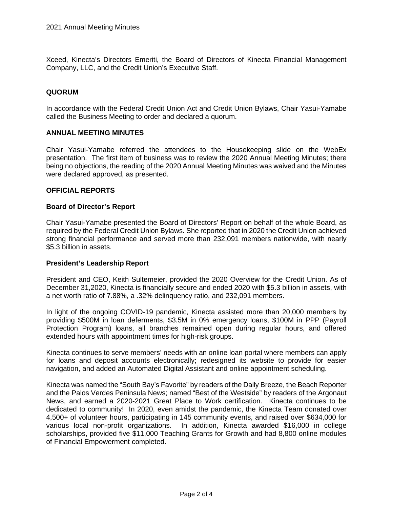Xceed, Kinecta's Directors Emeriti, the Board of Directors of Kinecta Financial Management Company, LLC, and the Credit Union's Executive Staff.

# **QUORUM**

In accordance with the Federal Credit Union Act and Credit Union Bylaws, Chair Yasui-Yamabe called the Business Meeting to order and declared a quorum.

### **ANNUAL MEETING MINUTES**

Chair Yasui-Yamabe referred the attendees to the Housekeeping slide on the WebEx presentation. The first item of business was to review the 2020 Annual Meeting Minutes; there being no objections, the reading of the 2020 Annual Meeting Minutes was waived and the Minutes were declared approved, as presented.

# **OFFICIAL REPORTS**

#### **Board of Director's Report**

Chair Yasui-Yamabe presented the Board of Directors' Report on behalf of the whole Board, as required by the Federal Credit Union Bylaws. She reported that in 2020 the Credit Union achieved strong financial performance and served more than 232,091 members nationwide, with nearly \$5.3 billion in assets.

### **President's Leadership Report**

President and CEO, Keith Sultemeier, provided the 2020 Overview for the Credit Union. As of December 31,2020, Kinecta is financially secure and ended 2020 with \$5.3 billion in assets, with a net worth ratio of 7.88%, a .32% delinquency ratio, and 232,091 members.

In light of the ongoing COVID-19 pandemic, Kinecta assisted more than 20,000 members by providing \$500M in loan deferments, \$3.5M in 0% emergency loans, \$100M in PPP (Payroll Protection Program) loans, all branches remained open during regular hours, and offered extended hours with appointment times for high-risk groups.

Kinecta continues to serve members' needs with an online loan portal where members can apply for loans and deposit accounts electronically; redesigned its website to provide for easier navigation, and added an Automated Digital Assistant and online appointment scheduling.

Kinecta was named the "South Bay's Favorite" by readers of the Daily Breeze, the Beach Reporter and the Palos Verdes Peninsula News; named "Best of the Westside" by readers of the Argonaut News, and earned a 2020-2021 Great Place to Work certification. Kinecta continues to be dedicated to community! In 2020, even amidst the pandemic, the Kinecta Team donated over 4,500+ of volunteer hours, participating in 145 community events, and raised over \$634,000 for various local non-profit organizations. In addition, Kinecta awarded \$16,000 in college scholarships, provided five \$11,000 Teaching Grants for Growth and had 8,800 online modules of Financial Empowerment completed.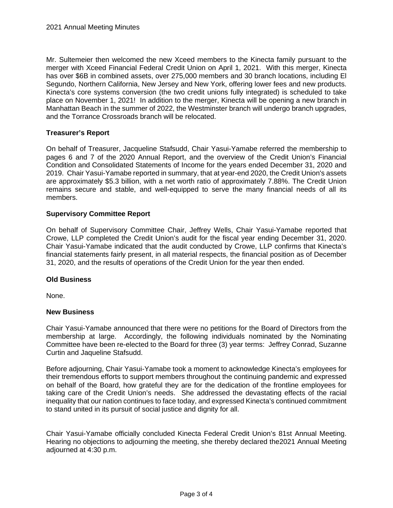Mr. Sultemeier then welcomed the new Xceed members to the Kinecta family pursuant to the merger with Xceed Financial Federal Credit Union on April 1, 2021. With this merger, Kinecta has over \$6B in combined assets, over 275,000 members and 30 branch locations, including El Segundo, Northern California, New Jersey and New York, offering lower fees and new products. Kinecta's core systems conversion (the two credit unions fully integrated) is scheduled to take place on November 1, 2021! In addition to the merger, Kinecta will be opening a new branch in Manhattan Beach in the summer of 2022, the Westminster branch will undergo branch upgrades, and the Torrance Crossroads branch will be relocated.

# **Treasurer's Report**

On behalf of Treasurer, Jacqueline Stafsudd, Chair Yasui-Yamabe referred the membership to pages 6 and 7 of the 2020 Annual Report, and the overview of the Credit Union's Financial Condition and Consolidated Statements of Income for the years ended December 31, 2020 and 2019. Chair Yasui-Yamabe reported in summary, that at year-end 2020, the Credit Union's assets are approximately \$5.3 billion, with a net worth ratio of approximately 7.88%. The Credit Union remains secure and stable, and well-equipped to serve the many financial needs of all its members.

# **Supervisory Committee Report**

On behalf of Supervisory Committee Chair, Jeffrey Wells, Chair Yasui-Yamabe reported that Crowe, LLP completed the Credit Union's audit for the fiscal year ending December 31, 2020. Chair Yasui-Yamabe indicated that the audit conducted by Crowe, LLP confirms that Kinecta's financial statements fairly present, in all material respects, the financial position as of December 31, 2020, and the results of operations of the Credit Union for the year then ended.

### **Old Business**

None.

### **New Business**

Chair Yasui-Yamabe announced that there were no petitions for the Board of Directors from the membership at large. Accordingly, the following individuals nominated by the Nominating Committee have been re-elected to the Board for three (3) year terms: Jeffrey Conrad, Suzanne Curtin and Jaqueline Stafsudd.

Before adjourning, Chair Yasui-Yamabe took a moment to acknowledge Kinecta's employees for their tremendous efforts to support members throughout the continuing pandemic and expressed on behalf of the Board, how grateful they are for the dedication of the frontline employees for taking care of the Credit Union's needs. She addressed the devastating effects of the racial inequality that our nation continues to face today, and expressed Kinecta's continued commitment to stand united in its pursuit of social justice and dignity for all.

Chair Yasui-Yamabe officially concluded Kinecta Federal Credit Union's 81st Annual Meeting. Hearing no objections to adjourning the meeting, she thereby declared the2021 Annual Meeting adjourned at 4:30 p.m.